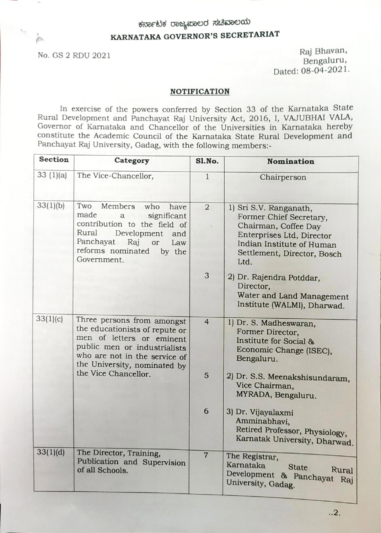# ಕರ್ನಾಟಕ ರಾಜ್ಯಪಾಲರ ಸಚಿವಾಲಯ

## KARNATAKA GOVERNOR'S SECRETARIAT

No. GS 2 RDU 2021 Raj Bhavan, Bengaluru, Dated: 08-04-2021.

#### NOTIFICATION

In exercise of the powers conferred by Section 33 of the Karnataka State Rural Development and Panchayat Raj University Act, 2016, I, VAJUBHAI VALA, Governor of Karnataka and Chancellor of the Universities in Karnataka hereby constitute the Academic Council of the Karnataka State Rural Development and Panchayat Raj University, Gadag, with the following members:-

| Section  | Category                                                                                                                                                                                                           | <b>S1.No.</b>  | <b>Nomination</b>                                                                                                                                                          |
|----------|--------------------------------------------------------------------------------------------------------------------------------------------------------------------------------------------------------------------|----------------|----------------------------------------------------------------------------------------------------------------------------------------------------------------------------|
| 33(1)(a) | The Vice-Chancellor,                                                                                                                                                                                               | $\mathbf{1}$   | Chairperson                                                                                                                                                                |
| 33(1)(b) | Two Members who<br>have<br>made<br>significant<br>$\mathbf{a}$<br>contribution to the field of<br>Rural<br>Development<br>and<br>Panchayat Raj<br>$\hbox{or}$<br>Law<br>reforms nominated<br>by the<br>Government. | $\overline{2}$ | 1) Sri S.V. Ranganath,<br>Former Chief Secretary,<br>Chairman, Coffee Day<br>Enterprises Ltd, Director<br>Indian Institute of Human<br>Settlement, Director, Bosch<br>Ltd. |
|          |                                                                                                                                                                                                                    | 3              | 2) Dr. Rajendra Potddar,<br>Director,<br>Water and Land Management<br>Institute (WALMI), Dharwad.                                                                          |
| 33(1)(c) | Three persons from amongst<br>the educationists of repute or<br>men of letters or eminent<br>public men or industrialists<br>who are not in the service of<br>the University, nominated by<br>the Vice Chancellor. | $\overline{4}$ | 1) Dr. S. Madheswaran,<br>Former Director,<br>Institute for Social &<br>Economic Change (ISEC),<br>Bengaluru.                                                              |
|          |                                                                                                                                                                                                                    | 5              | 2) Dr. S.S. Meenakshisundaram,<br>Vice Chairman,<br>MYRADA, Bengaluru.                                                                                                     |
|          |                                                                                                                                                                                                                    | 6              | 3) Dr. Vijayalaxmi<br>Amminabhavi,<br>Retired Professor, Physiology,<br>Karnatak University, Dharwad.                                                                      |
| 33(1)(d) | The Director, Training,<br>Publication and Supervision<br>of all Schools.                                                                                                                                          | $\overline{7}$ | The Registrar,<br>Karnataka<br><b>State</b><br>Rural<br>Development & Panchayat<br>Raj<br>University, Gadag.                                                               |

..2.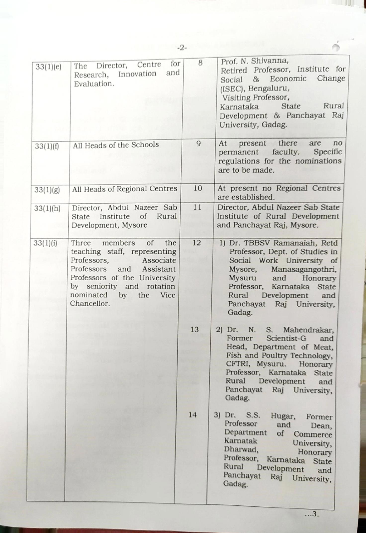| 33(1)(e) | for<br>The Director, Centre<br>and<br>Research, Innovation<br>Evaluation.                                                                                                                                                           | 8  | Prof. N. Shivanna,<br>Retired Professor, Institute for<br>Social & Economic<br>Change<br>(ISEC), Bengaluru,<br>Visiting Professor,<br>Rural<br><b>State</b><br>Karnataka<br>Development & Panchayat Raj<br>University, Gadag.                                |
|----------|-------------------------------------------------------------------------------------------------------------------------------------------------------------------------------------------------------------------------------------|----|--------------------------------------------------------------------------------------------------------------------------------------------------------------------------------------------------------------------------------------------------------------|
| 33(1)(f) | All Heads of the Schools                                                                                                                                                                                                            | 9  | present there<br>are<br>At<br>no<br>permanent faculty.<br>Specific<br>regulations for the nominations<br>are to be made.                                                                                                                                     |
| 33(1)(g) | All Heads of Regional Centres                                                                                                                                                                                                       | 10 | At present no Regional Centres<br>are established.                                                                                                                                                                                                           |
| 33(1)(h) | Director, Abdul Nazeer Sab<br>Institute<br>of<br>Rural<br><b>State</b><br>Development, Mysore                                                                                                                                       | 11 | Director, Abdul Nazeer Sab State<br>Institute of Rural Development<br>and Panchayat Raj, Mysore.                                                                                                                                                             |
| 33(1)(i) | Three members<br>of<br>the<br>teaching staff, representing<br>Professors,<br>Associate<br>Professors and<br>Assistant<br>Professors of the University<br>by seniority and rotation<br>nominated<br>by<br>the<br>Vice<br>Chancellor. | 12 | 1) Dr. TBBSV Ramanaiah, Retd<br>Professor, Dept. of Studies in<br>Social Work University of<br>Mysore, Manasagangothri,<br>and Honorary<br>Mysuru<br>Professor, Karnataka State<br>Rural Development and<br>Panchayat Raj University,<br>Gadag.              |
|          |                                                                                                                                                                                                                                     | 13 | 2) Dr. N. S. Mahendrakar,<br>Scientist-G<br>Former<br>and<br>Head, Department of Meat,<br>Fish and Poultry Technology,<br>CFTRI, Mysuru. Honorary<br>Professor, Karnataka State<br>Rural<br>Development<br>and<br>Panchayat<br>Raj University,<br>Gadag.     |
|          |                                                                                                                                                                                                                                     | 14 | 3) Dr. S.S.<br>Hugar,<br>Former<br>Professor<br>and<br>Dean,<br>Department<br>of<br>Commerce<br>Karnatak<br>University,<br>Dharwad,<br>Honorary<br>Professor,<br>Karnataka State<br>Rural<br>Development<br>and<br>Panchayat<br>Raj<br>University,<br>Gadag. |

W